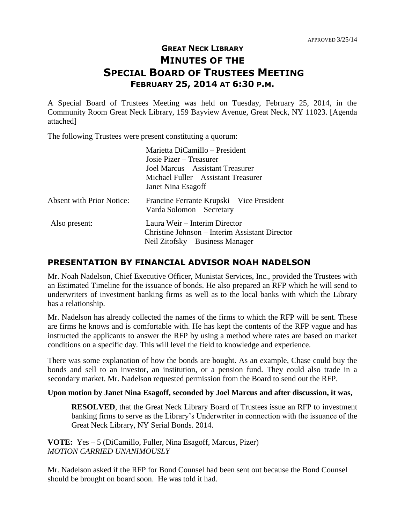# **GREAT NECK LIBRARY MINUTES OF THE SPECIAL BOARD OF TRUSTEES MEETING FEBRUARY 25, 2014 AT 6:30 P.M.**

A Special Board of Trustees Meeting was held on Tuesday, February 25, 2014, in the Community Room Great Neck Library, 159 Bayview Avenue, Great Neck, NY 11023. [Agenda attached]

The following Trustees were present constituting a quorum:

| Marietta DiCamillo – President                 |
|------------------------------------------------|
| Josie Pizer – Treasurer                        |
| Joel Marcus – Assistant Treasurer              |
| Michael Fuller – Assistant Treasurer           |
| Janet Nina Esagoff                             |
| Francine Ferrante Krupski – Vice President     |
| Varda Solomon – Secretary                      |
| Laura Weir – Interim Director                  |
| Christine Johnson – Interim Assistant Director |
| Neil Zitofsky – Business Manager               |
|                                                |

### **PRESENTATION BY FINANCIAL ADVISOR NOAH NADELSON**

Mr. Noah Nadelson, Chief Executive Officer, Munistat Services, Inc., provided the Trustees with an Estimated Timeline for the issuance of bonds. He also prepared an RFP which he will send to underwriters of investment banking firms as well as to the local banks with which the Library has a relationship.

Mr. Nadelson has already collected the names of the firms to which the RFP will be sent. These are firms he knows and is comfortable with. He has kept the contents of the RFP vague and has instructed the applicants to answer the RFP by using a method where rates are based on market conditions on a specific day. This will level the field to knowledge and experience.

There was some explanation of how the bonds are bought. As an example, Chase could buy the bonds and sell to an investor, an institution, or a pension fund. They could also trade in a secondary market. Mr. Nadelson requested permission from the Board to send out the RFP.

### **Upon motion by Janet Nina Esagoff, seconded by Joel Marcus and after discussion, it was,**

**RESOLVED**, that the Great Neck Library Board of Trustees issue an RFP to investment banking firms to serve as the Library's Underwriter in connection with the issuance of the Great Neck Library, NY Serial Bonds. 2014.

**VOTE:** Yes – 5 (DiCamillo, Fuller, Nina Esagoff, Marcus, Pizer) *MOTION CARRIED UNANIMOUSLY* 

Mr. Nadelson asked if the RFP for Bond Counsel had been sent out because the Bond Counsel should be brought on board soon. He was told it had.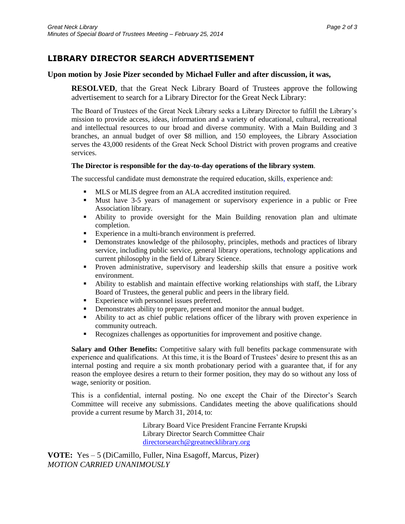## **LIBRARY DIRECTOR SEARCH ADVERTISEMENT**

#### **Upon motion by Josie Pizer seconded by Michael Fuller and after discussion, it was,**

**RESOLVED**, that the Great Neck Library Board of Trustees approve the following advertisement to search for a Library Director for the Great Neck Library:

The Board of Trustees of the Great Neck Library seeks a Library Director to fulfill the Library's mission to provide access, ideas, information and a variety of educational, cultural, recreational and intellectual resources to our broad and diverse community. With a Main Building and 3 branches, an annual budget of over \$8 million, and 150 employees, the Library Association serves the 43,000 residents of the Great Neck School District with proven programs and creative services.

#### **The Director is responsible for the day-to-day operations of the library system**.

The successful candidate must demonstrate the required education, skills, experience and:

- MLS or MLIS degree from an ALA accredited institution required.
- Must have 3-5 years of management or supervisory experience in a public or Free Association library.
- Ability to provide oversight for the Main Building renovation plan and ultimate completion.
- Experience in a multi-branch environment is preferred.<br>
Demonstrates knowledge of the philosophy, principles
- Demonstrates knowledge of the philosophy, principles, methods and practices of library service, including public service, general library operations, technology applications and current philosophy in the field of Library Science.
- Proven administrative, supervisory and leadership skills that ensure a positive work environment.
- Ability to establish and maintain effective working relationships with staff, the Library Board of Trustees, the general public and peers in the library field.
- Experience with personnel issues preferred.
- Demonstrates ability to prepare, present and monitor the annual budget.
- Ability to act as chief public relations officer of the library with proven experience in community outreach.
- Recognizes challenges as opportunities for improvement and positive change.

**Salary and Other Benefits:** Competitive salary with full benefits package commensurate with experience and qualifications. At this time, it is the Board of Trustees' desire to present this as an internal posting and require a six month probationary period with a guarantee that, if for any reason the employee desires a return to their former position, they may do so without any loss of wage, seniority or position.

This is a confidential, internal posting. No one except the Chair of the Director's Search Committee will receive any submissions. Candidates meeting the above qualifications should provide a current resume by March 31, 2014, to:

> Library Board Vice President Francine Ferrante Krupski Library Director Search Committee Chair [directorsearch@greatnecklibrary.org](mailto:directorsearch@greatnecklibrary.org)

**VOTE:** Yes – 5 (DiCamillo, Fuller, Nina Esagoff, Marcus, Pizer) *MOTION CARRIED UNANIMOUSLY*